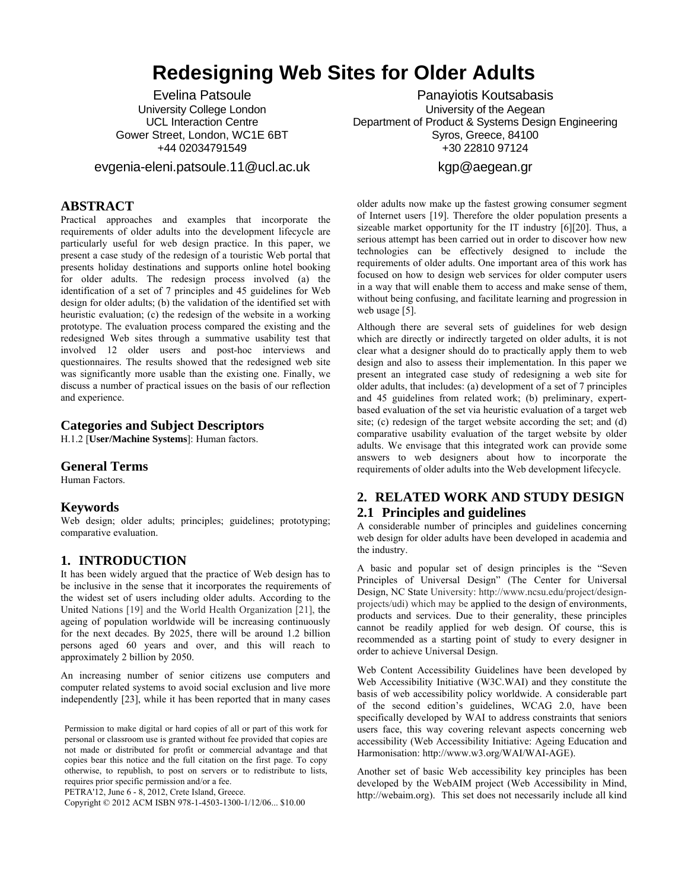# **Redesigning Web Sites for Older Adults**

Evelina Patsoule University College London UCL Interaction Centre Gower Street, London, WC1E 6BT +44 02034791549

evgenia-eleni.patsoule.11@ucl.ac.uk

## **ABSTRACT**

Practical approaches and examples that incorporate the requirements of older adults into the development lifecycle are particularly useful for web design practice. In this paper, we present a case study of the redesign of a touristic Web portal that presents holiday destinations and supports online hotel booking for older adults. The redesign process involved (a) the identification of a set of 7 principles and 45 guidelines for Web design for older adults; (b) the validation of the identified set with heuristic evaluation; (c) the redesign of the website in a working prototype. The evaluation process compared the existing and the redesigned Web sites through a summative usability test that involved 12 older users and post-hoc interviews and questionnaires. The results showed that the redesigned web site was significantly more usable than the existing one. Finally, we discuss a number of practical issues on the basis of our reflection and experience.

## **Categories and Subject Descriptors**

H.1.2 [**User/Machine Systems**]: Human factors.

#### **General Terms**

Human Factors.

#### **Keywords**

Web design; older adults; principles; guidelines; prototyping; comparative evaluation.

## **1. INTRODUCTION**

It has been widely argued that the practice of Web design has to be inclusive in the sense that it incorporates the requirements of the widest set of users including older adults. According to the United Nations [\[19\]](#page-7-0) and the World Health Organization [\[21\],](#page-7-1) the ageing of population worldwide will be increasing continuously for the next decades. By 2025, there will be around 1.2 billion persons aged 60 years and over, and this will reach to approximately 2 billion by 2050.

An increasing number of senior citizens use computers and computer related systems to avoid social exclusion and live more independently [\[23\]](#page-7-2), while it has been reported that in many cases

Permission to make digital or hard copies of all or part of this work for personal or classroom use is granted without fee provided that copies are not made or distributed for profit or commercial advantage and that copies bear this notice and the full citation on the first page. To copy otherwise, to republish, to post on servers or to redistribute to lists, requires prior specific permission and/or a fee.

PETRA'12, June 6 - 8, 2012, Crete Island, Greece.

Copyright © 2012 ACM ISBN 978-1-4503-1300-1/12/06... \$10.00

Panayiotis Koutsabasis University of the Aegean Department of Product & Systems Design Engineering Syros, Greece, 84100 +30 22810 97124

## [kgp@aegean.gr](mailto:kgp@aegean.gr)

older adults now make up the fastest growing consumer segment of Internet users [\[19\].](#page-7-0) Therefore the older population presents a sizeable market opportunity for the IT industry [\[6\]](#page-7-3)[\[20\]](#page-7-4). Thus, a serious attempt has been carried out in order to discover how new technologies can be effectively designed to include the requirements of older adults. One important area of this work has focused on how to design web services for older computer users in a way that will enable them to access and make sense of them, without being confusing, and facilitate learning and progression in web usage [\[5\]](#page-7-5).

Although there are several sets of guidelines for web design which are directly or indirectly targeted on older adults, it is not clear what a designer should do to practically apply them to web design and also to assess their implementation. In this paper we present an integrated case study of redesigning a web site for older adults, that includes: (a) development of a set of 7 principles and 45 guidelines from related work; (b) preliminary, expertbased evaluation of the set via heuristic evaluation of a target web site; (c) redesign of the target website according the set; and (d) comparative usability evaluation of the target website by older adults. We envisage that this integrated work can provide some answers to web designers about how to incorporate the requirements of older adults into the Web development lifecycle.

# **2. RELATED WORK AND STUDY DESIGN 2.1 Principles and guidelines**

A considerable number of principles and guidelines concerning web design for older adults have been developed in academia and the industry.

A basic and popular set of design principles is the "Seven Principles of Universal Design" (The Center for Universal Design, NC State University: [http://www.ncsu.edu/project/design](http://www.ncsu.edu/project/design-projects/udi/)[projects/udi](http://www.ncsu.edu/project/design-projects/udi/)) which may be applied to the design of environments, products and services. Due to their generality, these principles cannot be readily applied for web design. Of course, this is recommended as a starting point of study to every designer in order to achieve Universal Design.

Web Content Accessibility Guidelines have been developed by Web Accessibility Initiative (W3C.WAI) and they constitute the basis of web accessibility policy worldwide. A considerable part of the second edition's guidelines, WCAG 2.0, have been specifically developed by WAI to address constraints that seniors users face, this way covering relevant aspects concerning web accessibility (Web Accessibility Initiative: Ageing Education and Harmonisation: [http://www.w3.org/WAI/WAI-AGE](http://www.w3.org/WAI/WAI-AGE/)).

Another set of basic Web accessibility key principles has been developed by the WebAIM project (Web Accessibility in Mind, [http://webaim.org](http://webaim.org/)). This set does not necessarily include all kind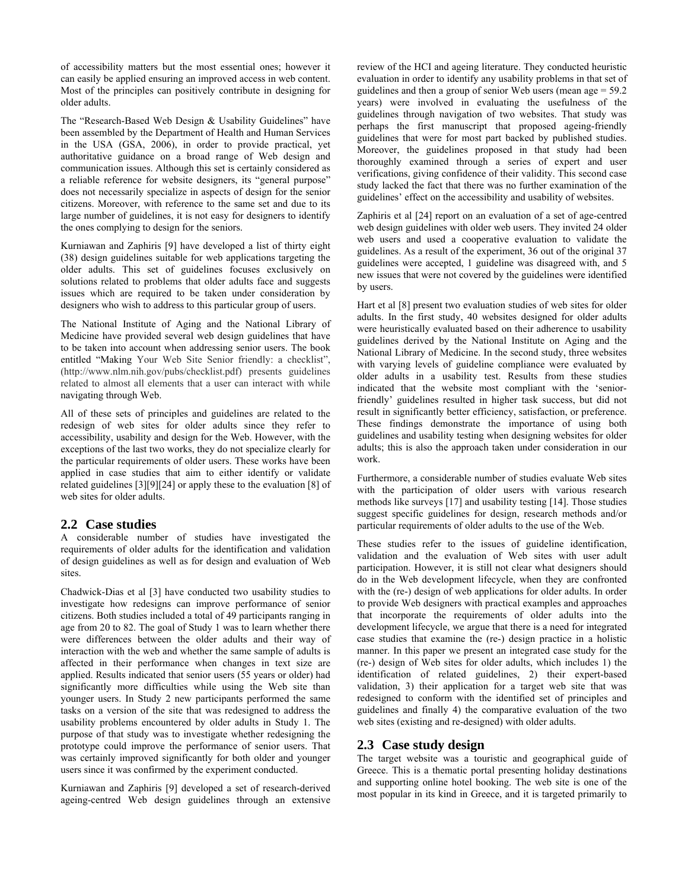of accessibility matters but the most essential ones; however it can easily be applied ensuring an improved access in web content. Most of the principles can positively contribute in designing for older adults.

The "Research-Based Web Design & Usability Guidelines" have been assembled by the Department of Health and Human Services in the USA (GSA, 2006), in order to provide practical, yet authoritative guidance on a broad range of Web design and communication issues. Although this set is certainly considered as a reliable reference for website designers, its "general purpose" does not necessarily specialize in aspects of design for the senior citizens. Moreover, with reference to the same set and due to its large number of guidelines, it is not easy for designers to identify the ones complying to design for the seniors.

Kurniawan and Zaphiris [\[9\]](#page-7-6) have developed a list of thirty eight (38) design guidelines suitable for web applications targeting the older adults. This set of guidelines focuses exclusively on solutions related to problems that older adults face and suggests issues which are required to be taken under consideration by designers who wish to address to this particular group of users.

The National Institute of Aging and the National Library of Medicine have provided several web design guidelines that have to be taken into account when addressing senior users. The book entitled "Making Your Web Site Senior friendly: a checklist", (<http://www.nlm.nih.gov/pubs/checklist.pdf>) presents guidelines related to almost all elements that a user can interact with while navigating through Web.

All of these sets of principles and guidelines are related to the redesign of web sites for older adults since they refer to accessibility, usability and design for the Web. However, with the exceptions of the last two works, they do not specialize clearly for the particular requirements of older users. These works have been applied in case studies that aim to either identify or validate related guidelines [\[3\]](#page-7-7)[\[9\]](#page-7-6)[\[24\]](#page-7-8) or apply these to the evaluation [\[8\]](#page-7-9) of web sites for older adults.

## **2.2 Case studies**

A considerable number of studies have investigated the requirements of older adults for the identification and validation of design guidelines as well as for design and evaluation of Web sites.

Chadwick-Dias et al [\[3\]](#page-7-7) have conducted two usability studies to investigate how redesigns can improve performance of senior citizens. Both studies included a total of 49 participants ranging in age from 20 to 82. The goal of Study 1 was to learn whether there were differences between the older adults and their way of interaction with the web and whether the same sample of adults is affected in their performance when changes in text size are applied. Results indicated that senior users (55 years or older) had significantly more difficulties while using the Web site than younger users. In Study 2 new participants performed the same tasks on a version of the site that was redesigned to address the usability problems encountered by older adults in Study 1. The purpose of that study was to investigate whether redesigning the prototype could improve the performance of senior users. That was certainly improved significantly for both older and younger users since it was confirmed by the experiment conducted.

Kurniawan and Zaphiris [\[9\]](#page-7-6) developed a set of research-derived ageing-centred Web design guidelines through an extensive

review of the HCI and ageing literature. They conducted heuristic evaluation in order to identify any usability problems in that set of guidelines and then a group of senior Web users (mean age = 59.2 years) were involved in evaluating the usefulness of the guidelines through navigation of two websites. That study was perhaps the first manuscript that proposed ageing-friendly guidelines that were for most part backed by published studies. Moreover, the guidelines proposed in that study had been thoroughly examined through a series of expert and user verifications, giving confidence of their validity. This second case study lacked the fact that there was no further examination of the guidelines' effect on the accessibility and usability of websites.

Zaphiris et al [\[24\]](#page-7-8) report on an evaluation of a set of age-centred web design guidelines with older web users. They invited 24 older web users and used a cooperative evaluation to validate the guidelines. As a result of the experiment, 36 out of the original 37 guidelines were accepted, 1 guideline was disagreed with, and 5 new issues that were not covered by the guidelines were identified by users.

Hart et al [\[8\]](#page-7-9) present two evaluation studies of web sites for older adults. In the first study, 40 websites designed for older adults were heuristically evaluated based on their adherence to usability guidelines derived by the National Institute on Aging and the National Library of Medicine. In the second study, three websites with varying levels of guideline compliance were evaluated by older adults in a usability test. Results from these studies indicated that the website most compliant with the 'seniorfriendly' guidelines resulted in higher task success, but did not result in significantly better efficiency, satisfaction, or preference. These findings demonstrate the importance of using both guidelines and usability testing when designing websites for older adults; this is also the approach taken under consideration in our work.

Furthermore, a considerable number of studies evaluate Web sites with the participation of older users with various research methods like surveys [\[17\]](#page-7-10) and usability testing [\[14\]](#page-7-11). Those studies suggest specific guidelines for design, research methods and/or particular requirements of older adults to the use of the Web.

These studies refer to the issues of guideline identification, validation and the evaluation of Web sites with user adult participation. However, it is still not clear what designers should do in the Web development lifecycle, when they are confronted with the (re-) design of web applications for older adults. In order to provide Web designers with practical examples and approaches that incorporate the requirements of older adults into the development lifecycle, we argue that there is a need for integrated case studies that examine the (re-) design practice in a holistic manner. In this paper we present an integrated case study for the (re-) design of Web sites for older adults, which includes 1) the identification of related guidelines, 2) their expert-based validation, 3) their application for a target web site that was redesigned to conform with the identified set of principles and guidelines and finally 4) the comparative evaluation of the two web sites (existing and re-designed) with older adults.

# **2.3 Case study design**

The target website was a touristic and geographical guide of Greece. This is a thematic portal presenting holiday destinations and supporting online hotel booking. The web site is one of the most popular in its kind in Greece, and it is targeted primarily to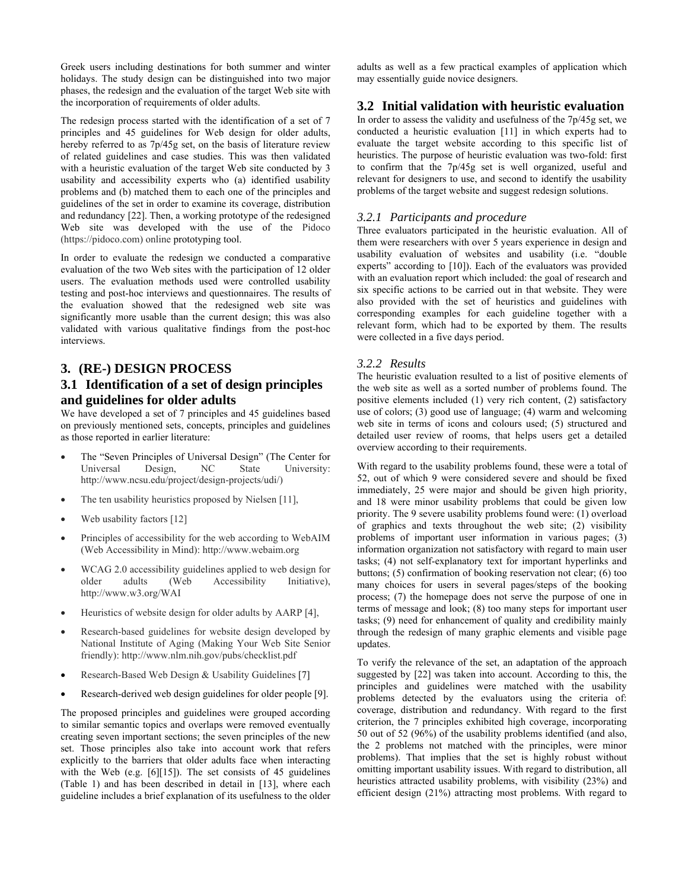Greek users including destinations for both summer and winter holidays. The study design can be distinguished into two major phases, the redesign and the evaluation of the target Web site with the incorporation of requirements of older adults.

The redesign process started with the identification of a set of 7 principles and 45 guidelines for Web design for older adults, hereby referred to as 7p/45g set, on the basis of literature review of related guidelines and case studies. This was then validated with a heuristic evaluation of the target Web site conducted by 3 usability and accessibility experts who (a) identified usability problems and (b) matched them to each one of the principles and guidelines of the set in order to examine its coverage, distribution and redundancy [\[22\].](#page-7-12) Then, a working prototype of the redesigned Web site was developed with the use of the Pidoco ([https://pidoco.com](https://pidoco.com/)) online prototyping tool.

In order to evaluate the redesign we conducted a comparative evaluation of the two Web sites with the participation of 12 older users. The evaluation methods used were controlled usability testing and post-hoc interviews and questionnaires. The results of the evaluation showed that the redesigned web site was significantly more usable than the current design; this was also validated with various qualitative findings from the post-hoc interviews.

# **3. (RE-) DESIGN PROCESS**

# **3.1 Identification of a set of design principles and guidelines for older adults**

We have developed a set of 7 principles and 45 guidelines based on previously mentioned sets, concepts, principles and guidelines as those reported in earlier literature:

- The "Seven Principles of Universal Design" (The Center for Universal Design, NC State University: [http://www.ncsu.edu/project/design-projects/udi/\)](http://www.ncsu.edu/project/design-projects/udi/)
- The ten usability heuristics proposed by Nielsen [\[11\]](#page-7-13),
- Web usability factors [12]
- Principles of accessibility for the web according to WebAIM (Web Accessibility in Mind): [http://www.webaim.org](http://www.webaim.org/)
- WCAG 2.0 accessibility guidelines applied to web design for older adults (Web Accessibility Initiative), [http://www.w3.org/WAI](http://www.w3.org/WAI/)
- Heuristics of website design for older adults by AARP [\[4\],](#page-7-15)
- Research-based guidelines for website design developed by National Institute of Aging (Making Your Web Site Senior friendly):<http://www.nlm.nih.gov/pubs/checklist.pdf>
- Research-Based Web Design & Usability Guidelines [7]
- Research-derived web design guidelines for older people [\[9\]](#page-7-6).

The proposed principles and guidelines were grouped according to similar semantic topics and overlaps were removed eventually creating seven important sections; the seven principles of the new set. Those principles also take into account work that refers explicitly to the barriers that older adults face when interacting with the Web (e.g. [\[6\]](#page-7-3)[\[15\]\)](#page-7-17). The set consists of 45 guidelines ([Table 1\)](#page-3-0) and has been described in detail in [\[13\],](#page-7-18) where each guideline includes a brief explanation of its usefulness to the older adults as well as a few practical examples of application which may essentially guide novice designers.

#### **3.2 Initial validation with heuristic evaluation**

In order to assess the validity and usefulness of the 7p/45g set, we conducted a heuristic evaluation [\[11\]](#page-7-13) in which experts had to evaluate the target website according to this specific list of heuristics. The purpose of heuristic evaluation was two-fold: first to confirm that the 7p/45g set is well organized, useful and relevant for designers to use, and second to identify the usability problems of the target website and suggest redesign solutions.

#### *3.2.1 Participants and procedure*

Three evaluators participated in the heuristic evaluation. All of them were researchers with over 5 years experience in design and usability evaluation of websites and usability (i.e. "double experts" according to [\[10\]\)](#page-7-19). Each of the evaluators was provided with an evaluation report which included: the goal of research and six specific actions to be carried out in that website. They were also provided with the set of heuristics and guidelines with corresponding examples for each guideline together with a relevant form, which had to be exported by them. The results were collected in a five days period.

#### *3.2.2 Results*

The heuristic evaluation resulted to a list of positive elements of the web site as well as a sorted number of problems found. The positive elements included (1) very rich content, (2) satisfactory use of colors; (3) good use of language; (4) warm and welcoming web site in terms of icons and colours used; (5) structured and detailed user review of rooms, that helps users get a detailed overview according to their requirements.

With regard to the usability problems found, these were a total of 52, out of which 9 were considered severe and should be fixed immediately, 25 were major and should be given high priority, and 18 were minor usability problems that could be given low priority. The 9 severe usability problems found were: (1) overload of graphics and texts throughout the web site; (2) visibility problems of important user information in various pages; (3) information organization not satisfactory with regard to main user tasks; (4) not self-explanatory text for important hyperlinks and buttons; (5) confirmation of booking reservation not clear; (6) too many choices for users in several pages/steps of the booking process; (7) the homepage does not serve the purpose of one in terms of message and look; (8) too many steps for important user tasks; (9) need for enhancement of quality and credibility mainly through the redesign of many graphic elements and visible page updates.

To verify the relevance of the set, an adaptation of the approach suggested by [\[22\]](#page-7-12) was taken into account. According to this, the principles and guidelines were matched with the usability problems detected by the evaluators using the criteria of: coverage, distribution and redundancy. With regard to the first criterion, the 7 principles exhibited high coverage, incorporating 50 out of 52 (96%) of the usability problems identified (and also, the 2 problems not matched with the principles, were minor problems). That implies that the set is highly robust without omitting important usability issues. With regard to distribution, all heuristics attracted usability problems, with visibility (23%) and efficient design (21%) attracting most problems. With regard to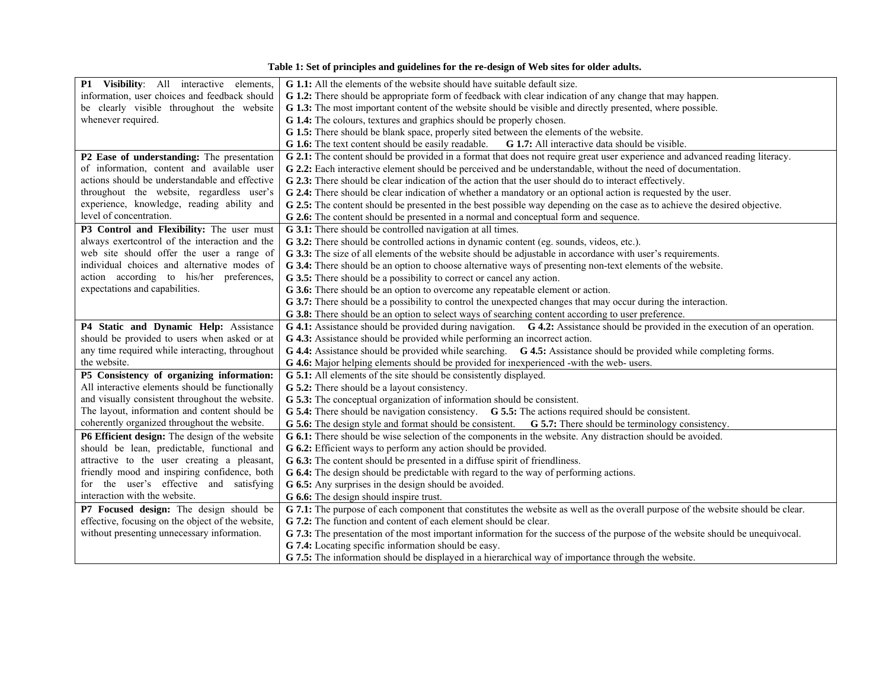<span id="page-3-0"></span>

| P1 Visibility: All interactive elements,          | G 1.1: All the elements of the website should have suitable default size.                                                        |  |  |  |  |
|---------------------------------------------------|----------------------------------------------------------------------------------------------------------------------------------|--|--|--|--|
| information, user choices and feedback should     | G 1.2: There should be appropriate form of feedback with clear indication of any change that may happen.                         |  |  |  |  |
| be clearly visible throughout the website         | G 1.3: The most important content of the website should be visible and directly presented, where possible.                       |  |  |  |  |
| whenever required.                                | G 1.4: The colours, textures and graphics should be properly chosen.                                                             |  |  |  |  |
|                                                   | G 1.5: There should be blank space, properly sited between the elements of the website.                                          |  |  |  |  |
|                                                   | <b>G 1.6:</b> The text content should be easily readable. <b>G 1.7:</b> All interactive data should be visible.                  |  |  |  |  |
| P2 Ease of understanding: The presentation        | G 2.1: The content should be provided in a format that does not require great user experience and advanced reading literacy.     |  |  |  |  |
| of information, content and available user        | G 2.2: Each interactive element should be perceived and be understandable, without the need of documentation.                    |  |  |  |  |
| actions should be understandable and effective    | G 2.3: There should be clear indication of the action that the user should do to interact effectively.                           |  |  |  |  |
| throughout the website, regardless user's         | G 2.4: There should be clear indication of whether a mandatory or an optional action is requested by the user.                   |  |  |  |  |
| experience, knowledge, reading ability and        | G 2.5: The content should be presented in the best possible way depending on the case as to achieve the desired objective.       |  |  |  |  |
| level of concentration.                           | G 2.6: The content should be presented in a normal and conceptual form and sequence.                                             |  |  |  |  |
| P3 Control and Flexibility: The user must         | G 3.1: There should be controlled navigation at all times.                                                                       |  |  |  |  |
| always exertcontrol of the interaction and the    | G 3.2: There should be controlled actions in dynamic content (eg. sounds, videos, etc.).                                         |  |  |  |  |
| web site should offer the user a range of         | G 3.3: The size of all elements of the website should be adjustable in accordance with user's requirements.                      |  |  |  |  |
| individual choices and alternative modes of       | G 3.4: There should be an option to choose alternative ways of presenting non-text elements of the website.                      |  |  |  |  |
| action according to his/her preferences,          | G 3.5: There should be a possibility to correct or cancel any action.                                                            |  |  |  |  |
| expectations and capabilities.                    | G 3.6: There should be an option to overcome any repeatable element or action.                                                   |  |  |  |  |
|                                                   | G 3.7: There should be a possibility to control the unexpected changes that may occur during the interaction.                    |  |  |  |  |
|                                                   | G 3.8: There should be an option to select ways of searching content according to user preference.                               |  |  |  |  |
| P4 Static and Dynamic Help: Assistance            | G 4.1: Assistance should be provided during navigation. G 4.2: Assistance should be provided in the execution of an operation.   |  |  |  |  |
| should be provided to users when asked or at      | G 4.3: Assistance should be provided while performing an incorrect action.                                                       |  |  |  |  |
| any time required while interacting, throughout   | G 4.4: Assistance should be provided while searching. G 4.5: Assistance should be provided while completing forms.               |  |  |  |  |
| the website.                                      | G 4.6: Major helping elements should be provided for inexperienced -with the web- users.                                         |  |  |  |  |
| P5 Consistency of organizing information:         | G 5.1: All elements of the site should be consistently displayed.                                                                |  |  |  |  |
| All interactive elements should be functionally   | G 5.2: There should be a layout consistency.                                                                                     |  |  |  |  |
| and visually consistent throughout the website.   | G 5.3: The conceptual organization of information should be consistent.                                                          |  |  |  |  |
| The layout, information and content should be     | G 5.4: There should be navigation consistency. G 5.5: The actions required should be consistent.                                 |  |  |  |  |
| coherently organized throughout the website.      | G 5.6: The design style and format should be consistent. G 5.7: There should be terminology consistency.                         |  |  |  |  |
| P6 Efficient design: The design of the website    | G 6.1: There should be wise selection of the components in the website. Any distraction should be avoided.                       |  |  |  |  |
| should be lean, predictable, functional and       | G 6.2: Efficient ways to perform any action should be provided.                                                                  |  |  |  |  |
| attractive to the user creating a pleasant,       | G 6.3: The content should be presented in a diffuse spirit of friendliness.                                                      |  |  |  |  |
| friendly mood and inspiring confidence, both      | G 6.4: The design should be predictable with regard to the way of performing actions.                                            |  |  |  |  |
| for the user's effective and satisfying           | G 6.5: Any surprises in the design should be avoided.                                                                            |  |  |  |  |
| interaction with the website.                     | G 6.6: The design should inspire trust.                                                                                          |  |  |  |  |
| P7 Focused design: The design should be           | G 7.1: The purpose of each component that constitutes the website as well as the overall purpose of the website should be clear. |  |  |  |  |
| effective, focusing on the object of the website, | G 7.2: The function and content of each element should be clear.                                                                 |  |  |  |  |
| without presenting unnecessary information.       | G 7.3: The presentation of the most important information for the success of the purpose of the website should be unequivocal.   |  |  |  |  |
|                                                   | G 7.4: Locating specific information should be easy.                                                                             |  |  |  |  |
|                                                   | G 7.5: The information should be displayed in a hierarchical way of importance through the website.                              |  |  |  |  |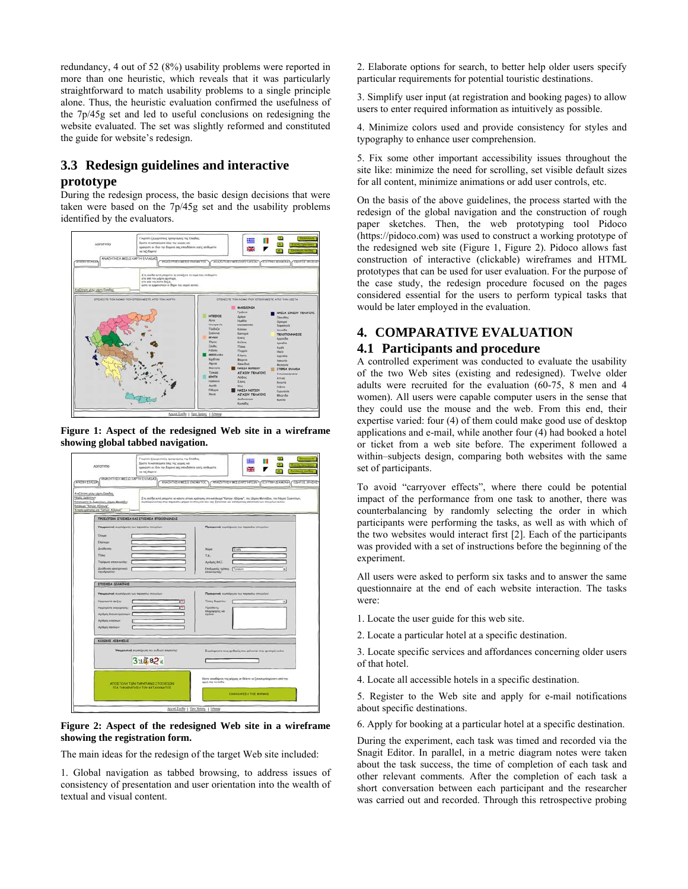redundancy, 4 out of 52 (8%) usability problems were reported in more than one heuristic, which reveals that it was particularly straightforward to match usability problems to a single principle alone. Thus, the heuristic evaluation confirmed the usefulness of the 7p/45g set and led to useful conclusions on redesigning the website evaluated. The set was slightly reformed and constituted the guide for website's redesign.

# **3.3 Redesign guidelines and interactive prototype**

During the redesign process, the basic design decisions that were taken were based on the 7p/45g set and the usability problems identified by the evaluators.



<span id="page-4-0"></span>**Figure 1: Aspect of the redesigned Web site in a wireframe showing global tabbed navigation.**



#### <span id="page-4-1"></span>**Figure 2: Aspect of the redesigned Web site in a wireframe showing the registration form.**

The main ideas for the redesign of the target Web site included:

1. Global navigation as tabbed browsing, to address issues of consistency of presentation and user orientation into the wealth of textual and visual content.

2. Elaborate options for search, to better help older users specify particular requirements for potential touristic destinations.

3. Simplify user input (at registration and booking pages) to allow users to enter required information as intuitively as possible.

4. Minimize colors used and provide consistency for styles and typography to enhance user comprehension.

5. Fix some other important accessibility issues throughout the site like: minimize the need for scrolling, set visible default sizes for all content, minimize animations or add user controls, etc.

On the basis of the above guidelines, the process started with the redesign of the global navigation and the construction of rough paper sketches. Then, the web prototyping tool Pidoco ([https://pidoco.com](http://pidoco.com/)) was used to construct a working prototype of the redesigned web site [\(Figure 1,](#page-4-0) [Figure 2\)](#page-4-1). Pidoco allows fast construction of interactive (clickable) wireframes and HTML prototypes that can be used for user evaluation. For the purpose of the case study, the redesign procedure focused on the pages considered essential for the users to perform typical tasks that would be later employed in the evaluation.

# **4. COMPARATIVE EVALUATION**

## **4.1 Participants and procedure**

A controlled experiment was conducted to evaluate the usability of the two Web sites (existing and redesigned). Twelve older adults were recruited for the evaluation (60-75, 8 men and 4 women). All users were capable computer users in the sense that they could use the mouse and the web. From this end, their expertise varied: four (4) of them could make good use of desktop applications and e-mail, while another four (4) had booked a hotel or ticket from a web site before. The experiment followed a within–subjects design, comparing both websites with the same set of participants.

To avoid "carryover effects", where there could be potential impact of the performance from one task to another, there was counterbalancing by randomly selecting the order in which participants were performing the tasks, as well as with which of the two websites would interact first [\[2\].](#page-7-20) Each of the participants was provided with a set of instructions before the beginning of the experiment.

All users were asked to perform six tasks and to answer the same questionnaire at the end of each website interaction. The tasks were:

- 1. Locate the user guide for this web site.
- 2. Locate a particular hotel at a specific destination.

3. Locate specific services and affordances concerning older users of that hotel.

4. Locate all accessible hotels in a specific destination.

5. Register to the Web site and apply for e-mail notifications about specific destinations.

6. Apply for booking at a particular hotel at a specific destination.

During the experiment, each task was timed and recorded via the Snagit Editor. In parallel, in a metric diagram notes were taken about the task success, the time of completion of each task and other relevant comments. After the completion of each task a short conversation between each participant and the researcher was carried out and recorded. Through this retrospective probing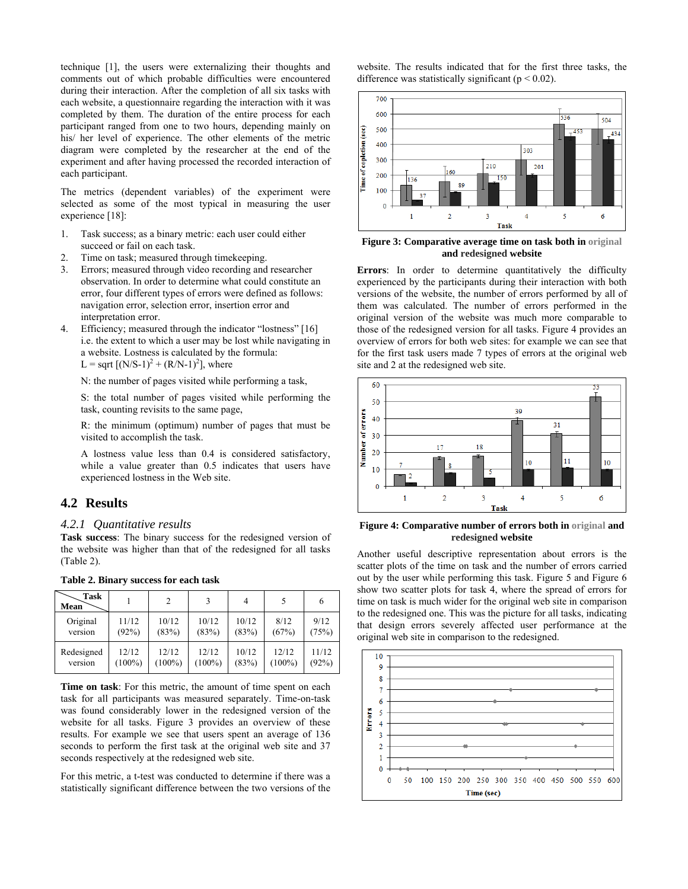technique [\[1\]](#page-7-21), the users were externalizing their thoughts and comments out of which probable difficulties were encountered during their interaction. After the completion of all six tasks with each website, a questionnaire regarding the interaction with it was completed by them. The duration of the entire process for each participant ranged from one to two hours, depending mainly on his/ her level of experience. The other elements of the metric diagram were completed by the researcher at the end of the experiment and after having processed the recorded interaction of each participant.

The metrics (dependent variables) of the experiment were selected as some of the most typical in measuring the user experience [\[18\]](#page-7-22):

- <span id="page-5-1"></span>1. Task success; as a binary metric: each user could either succeed or fail on each task.
- 2. Time on task; measured through timekeeping.
- 3. Errors; measured through video recording and researcher observation. In order to determine what could constitute an error, four different types of errors were defined as follows: navigation error, selection error, insertion error and interpretation error.
- 4. Efficiency; measured through the indicator "lostness" [\[16\]](#page-7-23) i.e. the extent to which a user may be lost while navigating in a website. Lostness is calculated by the formula: L = sqrt  $[(N/S-1)^{2} + (R/N-1)^{2}]$ , where

N: the number of pages visited while performing a task,

S: the total number of pages visited while performing the task, counting revisits to the same page,

R: the minimum (optimum) number of pages that must be visited to accomplish the task.

A lostness value less than 0.4 is considered satisfactory, while a value greater than 0.5 indicates that users have experienced lostness in the Web site.

## **4.2 Results**

#### <span id="page-5-2"></span>*4.2.1 Quantitative results*

**Task success**: The binary success for the redesigned version of the website was higher than that of the redesigned for all tasks ([Table 2](#page-5-0)).

<span id="page-5-0"></span>

| Task<br>Mean |           | $\overline{c}$ |           | 4     |           |       |
|--------------|-----------|----------------|-----------|-------|-----------|-------|
| Original     | 11/12     | 10/12          | 10/12     | 10/12 | 8/12      | 9/12  |
| version      | (92%)     | (83%)          | (83%)     | (83%) | (67%)     | (75%) |
| Redesigned   | 12/12     | 12/12          | 12/12     | 10/12 | 12/12     | 11/12 |
| version      | $(100\%)$ | $(100\%)$      | $(100\%)$ | (83%) | $(100\%)$ | (92%) |

**Table 2. Binary success for each task** 

**Time on task**: For this metric, the amount of time spent on each task for all participants was measured separately. Time-on-task was found considerably lower in the redesigned version of the website for all tasks. [Figure 3](#page-5-1) provides an overview of these results. For example we see that users spent an average of 136 seconds to perform the first task at the original web site and 37 seconds respectively at the redesigned web site.

For this metric, a t-test was conducted to determine if there was a statistically significant difference between the two versions of the website. The results indicated that for the first three tasks, the difference was statistically significant ( $p < 0.02$ ).



**Figure 3: Comparative average time on task both in original and redesigned website** 

**Errors**: In order to determine quantitatively the difficulty experienced by the participants during their interaction with both versions of the website, the number of errors performed by all of them was calculated. The number of errors performed in the original version of the website was much more comparable to those of the redesigned version for all tasks. [Figure 4](#page-5-2) provides an overview of errors for both web sites: for example we can see that for the first task users made 7 types of errors at the original web site and 2 at the redesigned web site.



**Figure 4: Comparative number of errors both in original and redesigned website** 

Another useful descriptive representation about errors is the scatter plots of the time on task and the number of errors carried out by the user while performing this task. [Figure 5](#page-6-0) and [Figure 6](#page-6-1) show two scatter plots for task 4, where the spread of errors for time on task is much wider for the original web site in comparison to the redesigned one. This was the picture for all tasks, indicating that design errors severely affected user performance at the original web site in comparison to the redesigned.

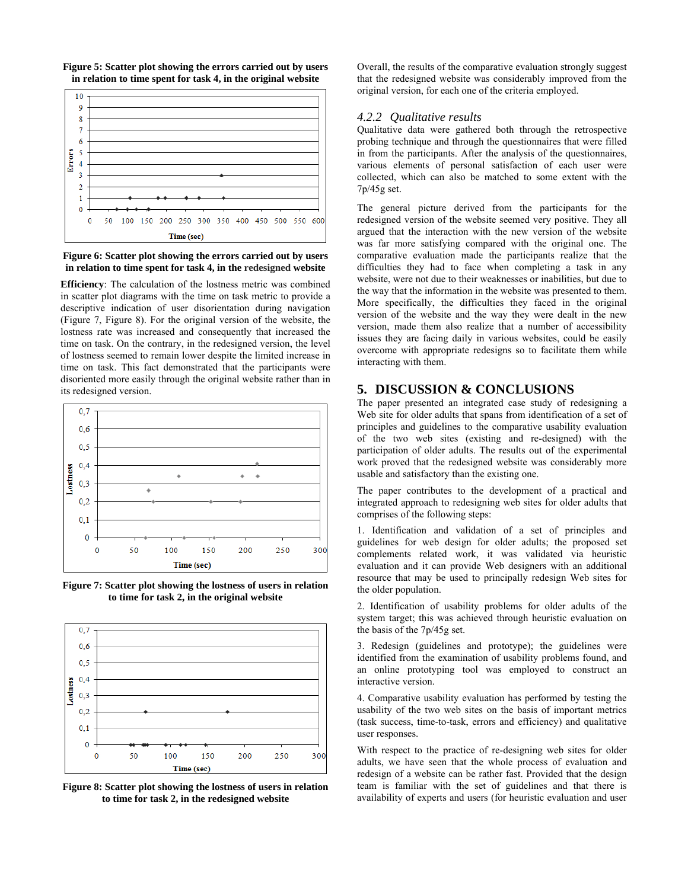<span id="page-6-0"></span>



<span id="page-6-1"></span>**Figure 6: Scatter plot showing the errors carried out by users in relation to time spent for task 4, in the redesigned website** 

**Efficiency**: The calculation of the lostness metric was combined in scatter plot diagrams with the time on task metric to provide a descriptive indication of user disorientation during navigation ([Figure 7](#page-6-2), [Figure 8](#page-6-3)). For the original version of the website, the lostness rate was increased and consequently that increased the time on task. On the contrary, in the redesigned version, the level of lostness seemed to remain lower despite the limited increase in time on task. This fact demonstrated that the participants were disoriented more easily through the original website rather than in its redesigned version.



<span id="page-6-2"></span>**Figure 7: Scatter plot showing the lostness of users in relation to time for task 2, in the original website** 



<span id="page-6-3"></span>**Figure 8: Scatter plot showing the lostness of users in relation to time for task 2, in the redesigned website** 

Overall, the results of the comparative evaluation strongly suggest that the redesigned website was considerably improved from the original version, for each one of the criteria employed.

#### *4.2.2 Qualitative results*

Qualitative data were gathered both through the retrospective probing technique and through the questionnaires that were filled in from the participants. After the analysis of the questionnaires, various elements of personal satisfaction of each user were collected, which can also be matched to some extent with the 7p/45g set.

The general picture derived from the participants for the redesigned version of the website seemed very positive. They all argued that the interaction with the new version of the website was far more satisfying compared with the original one. The comparative evaluation made the participants realize that the difficulties they had to face when completing a task in any website, were not due to their weaknesses or inabilities, but due to the way that the information in the website was presented to them. More specifically, the difficulties they faced in the original version of the website and the way they were dealt in the new version, made them also realize that a number of accessibility issues they are facing daily in various websites, could be easily overcome with appropriate redesigns so to facilitate them while interacting with them.

# **5. DISCUSSION & CONCLUSIONS**

The paper presented an integrated case study of redesigning a Web site for older adults that spans from identification of a set of principles and guidelines to the comparative usability evaluation of the two web sites (existing and re-designed) with the participation of older adults. The results out of the experimental work proved that the redesigned website was considerably more usable and satisfactory than the existing one.

The paper contributes to the development of a practical and integrated approach to redesigning web sites for older adults that comprises of the following steps:

1. Identification and validation of a set of principles and guidelines for web design for older adults; the proposed set complements related work, it was validated via heuristic evaluation and it can provide Web designers with an additional resource that may be used to principally redesign Web sites for the older population.

2. Identification of usability problems for older adults of the system target; this was achieved through heuristic evaluation on the basis of the 7p/45g set.

3. Redesign (guidelines and prototype); the guidelines were identified from the examination of usability problems found, and an online prototyping tool was employed to construct an interactive version.

4. Comparative usability evaluation has performed by testing the usability of the two web sites on the basis of important metrics (task success, time-to-task, errors and efficiency) and qualitative user responses.

With respect to the practice of re-designing web sites for older adults, we have seen that the whole process of evaluation and redesign of a website can be rather fast. Provided that the design team is familiar with the set of guidelines and that there is availability of experts and users (for heuristic evaluation and user